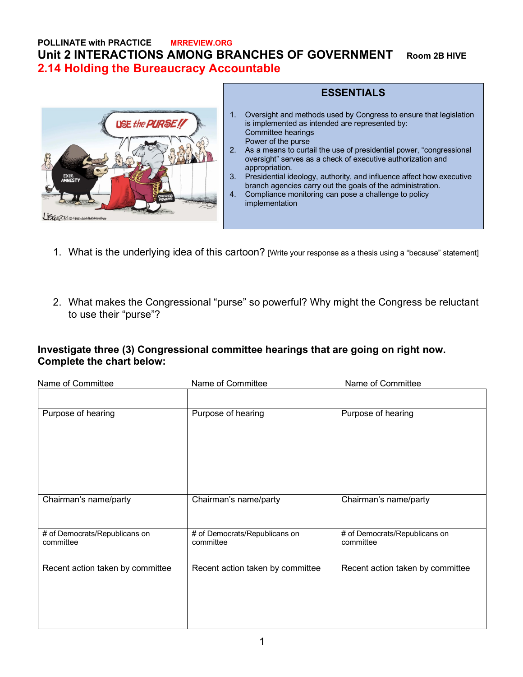### **POLLINATE with PRACTICE MRREVIEW.ORG Unit 2 INTERACTIONS AMONG BRANCHES OF GOVERNMENT Room 2B HIVE 2.14 Holding the Bureaucracy Accountable**



#### **ESSENTIALS** 1. Oversight and methods used by Congress to ensure that legislation is implemented as intended are represented by: Committee hearings Power of the purse 2. As a means to curtail the use of presidential power, "congressional oversight" serves as a check of executive authorization and appropriation. 3. Presidential ideology, authority, and influence affect how executive

- branch agencies carry out the goals of the administration. 4. Compliance monitoring can pose a challenge to policy implementation
- 1. What is the underlying idea of this cartoon? [Write your response as a thesis using a "because" statement]
- 2. What makes the Congressional "purse" so powerful? Why might the Congress be reluctant to use their "purse"?

### **Investigate three (3) Congressional committee hearings that are going on right now. Complete the chart below:**

| Name of Committee                          | Name of Committee                          | Name of Committee                          |
|--------------------------------------------|--------------------------------------------|--------------------------------------------|
|                                            |                                            |                                            |
| Purpose of hearing                         | Purpose of hearing                         | Purpose of hearing                         |
| Chairman's name/party                      | Chairman's name/party                      | Chairman's name/party                      |
| # of Democrats/Republicans on<br>committee | # of Democrats/Republicans on<br>committee | # of Democrats/Republicans on<br>committee |
| Recent action taken by committee           | Recent action taken by committee           | Recent action taken by committee           |